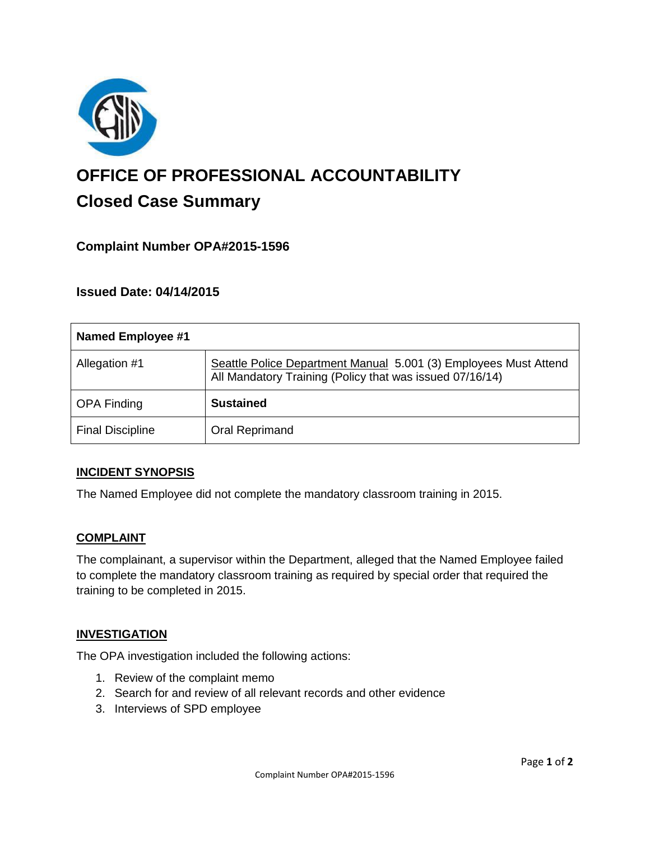

# **OFFICE OF PROFESSIONAL ACCOUNTABILITY Closed Case Summary**

## **Complaint Number OPA#2015-1596**

## **Issued Date: 04/14/2015**

| <b>Named Employee #1</b> |                                                                                                                              |
|--------------------------|------------------------------------------------------------------------------------------------------------------------------|
| Allegation #1            | Seattle Police Department Manual 5.001 (3) Employees Must Attend<br>All Mandatory Training (Policy that was issued 07/16/14) |
| <b>OPA Finding</b>       | <b>Sustained</b>                                                                                                             |
| <b>Final Discipline</b>  | <b>Oral Reprimand</b>                                                                                                        |

#### **INCIDENT SYNOPSIS**

The Named Employee did not complete the mandatory classroom training in 2015.

#### **COMPLAINT**

The complainant, a supervisor within the Department, alleged that the Named Employee failed to complete the mandatory classroom training as required by special order that required the training to be completed in 2015.

#### **INVESTIGATION**

The OPA investigation included the following actions:

- 1. Review of the complaint memo
- 2. Search for and review of all relevant records and other evidence
- 3. Interviews of SPD employee